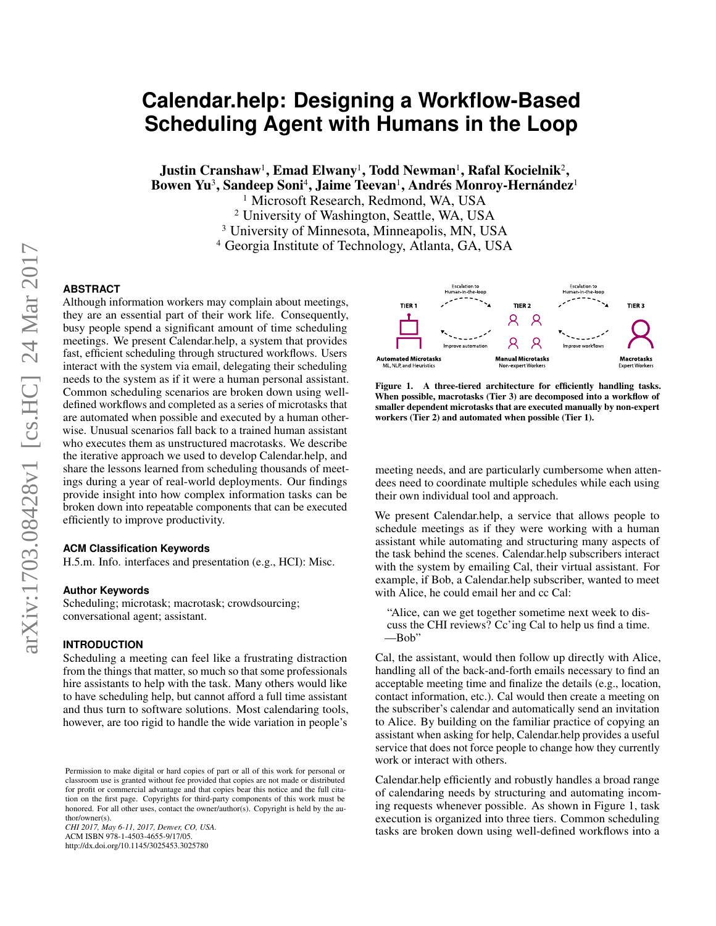# **Calendar.help: Designing a Workflow-Based Scheduling Agent with Humans in the Loop**

Justin Cranshaw<sup>1</sup>, Emad Elwany<sup>1</sup>, Todd Newman<sup>1</sup>, Rafal Kocielnik<sup>2</sup>, Bowen Yu<sup>3</sup>, Sandeep Soni<sup>4</sup>, Jaime Teevan<sup>1</sup>, Andrés Monroy-Hernández<sup>1</sup>

<sup>1</sup> Microsoft Research, Redmond, WA, USA

<sup>2</sup> University of Washington, Seattle, WA, USA <sup>3</sup> University of Minnesota, Minneapolis, MN, USA

<sup>4</sup> Georgia Institute of Technology, Atlanta, GA, USA

# **ABSTRACT**

Although information workers may complain about meetings, they are an essential part of their work life. Consequently, busy people spend a significant amount of time scheduling meetings. We present Calendar.help, a system that provides fast, efficient scheduling through structured workflows. Users interact with the system via email, delegating their scheduling needs to the system as if it were a human personal assistant. Common scheduling scenarios are broken down using welldefined workflows and completed as a series of microtasks that are automated when possible and executed by a human otherwise. Unusual scenarios fall back to a trained human assistant who executes them as unstructured macrotasks. We describe the iterative approach we used to develop Calendar.help, and share the lessons learned from scheduling thousands of meetings during a year of real-world deployments. Our findings provide insight into how complex information tasks can be broken down into repeatable components that can be executed efficiently to improve productivity.

#### **ACM Classification Keywords**

H.5.m. Info. interfaces and presentation (e.g., HCI): Misc.

# **Author Keywords**

Scheduling; microtask; macrotask; crowdsourcing; conversational agent; assistant.

## **INTRODUCTION**

Scheduling a meeting can feel like a frustrating distraction from the things that matter, so much so that some professionals hire assistants to help with the task. Many others would like to have scheduling help, but cannot afford a full time assistant and thus turn to software solutions. Most calendaring tools, however, are too rigid to handle the wide variation in people's

*CHI 2017, May 6-11, 2017, Denver, CO, USA.* ACM ISBN 978-1-4503-4655-9/17/05. http://dx.doi.org/10.1145/3025453.3025780



<span id="page-0-0"></span>Figure 1. A three-tiered architecture for efficiently handling tasks. When possible, macrotasks (Tier 3) are decomposed into a workflow of smaller dependent microtasks that are executed manually by non-expert workers (Tier 2) and automated when possible (Tier 1).

meeting needs, and are particularly cumbersome when attendees need to coordinate multiple schedules while each using their own individual tool and approach.

We present Calendar.help, a service that allows people to schedule meetings as if they were working with a human assistant while automating and structuring many aspects of the task behind the scenes. Calendar.help subscribers interact with the system by emailing Cal, their virtual assistant. For example, if Bob, a Calendar.help subscriber, wanted to meet with Alice, he could email her and cc Cal:

"Alice, can we get together sometime next week to discuss the CHI reviews? Cc'ing Cal to help us find a time. —Bob"

Cal, the assistant, would then follow up directly with Alice, handling all of the back-and-forth emails necessary to find an acceptable meeting time and finalize the details (e.g., location, contact information, etc.). Cal would then create a meeting on the subscriber's calendar and automatically send an invitation to Alice. By building on the familiar practice of copying an assistant when asking for help, Calendar.help provides a useful service that does not force people to change how they currently work or interact with others.

Calendar.help efficiently and robustly handles a broad range of calendaring needs by structuring and automating incoming requests whenever possible. As shown in Figure [1,](#page-0-0) task execution is organized into three tiers. Common scheduling tasks are broken down using well-defined workflows into a

Permission to make digital or hard copies of part or all of this work for personal or classroom use is granted without fee provided that copies are not made or distributed for profit or commercial advantage and that copies bear this notice and the full citation on the first page. Copyrights for third-party components of this work must be honored. For all other uses, contact the owner/author(s). Copyright is held by the author/owner(s).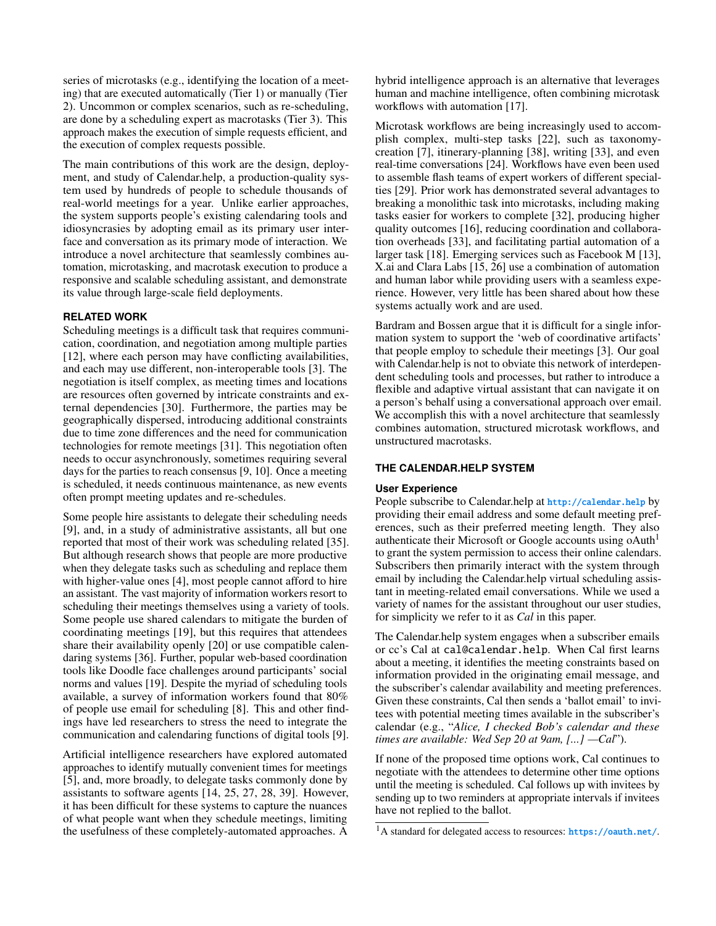series of microtasks (e.g., identifying the location of a meeting) that are executed automatically (Tier 1) or manually (Tier 2). Uncommon or complex scenarios, such as re-scheduling, are done by a scheduling expert as macrotasks (Tier 3). This approach makes the execution of simple requests efficient, and the execution of complex requests possible.

The main contributions of this work are the design, deployment, and study of Calendar.help, a production-quality system used by hundreds of people to schedule thousands of real-world meetings for a year. Unlike earlier approaches, the system supports people's existing calendaring tools and idiosyncrasies by adopting email as its primary user interface and conversation as its primary mode of interaction. We introduce a novel architecture that seamlessly combines automation, microtasking, and macrotask execution to produce a responsive and scalable scheduling assistant, and demonstrate its value through large-scale field deployments.

# **RELATED WORK**

Scheduling meetings is a difficult task that requires communication, coordination, and negotiation among multiple parties [\[12\]](#page-10-0), where each person may have conflicting availabilities, and each may use different, non-interoperable tools [\[3\]](#page-10-1). The negotiation is itself complex, as meeting times and locations are resources often governed by intricate constraints and external dependencies [\[30\]](#page-11-0). Furthermore, the parties may be geographically dispersed, introducing additional constraints due to time zone differences and the need for communication technologies for remote meetings [\[31\]](#page-11-1). This negotiation often needs to occur asynchronously, sometimes requiring several days for the parties to reach consensus [\[9,](#page-10-2) [10\]](#page-10-3). Once a meeting is scheduled, it needs continuous maintenance, as new events often prompt meeting updates and re-schedules.

Some people hire assistants to delegate their scheduling needs [\[9\]](#page-10-2), and, in a study of administrative assistants, all but one reported that most of their work was scheduling related [\[35\]](#page-11-2). But although research shows that people are more productive when they delegate tasks such as scheduling and replace them with higher-value ones [\[4\]](#page-10-4), most people cannot afford to hire an assistant. The vast majority of information workers resort to scheduling their meetings themselves using a variety of tools. Some people use shared calendars to mitigate the burden of coordinating meetings [\[19\]](#page-10-5), but this requires that attendees share their availability openly [\[20\]](#page-10-6) or use compatible calendaring systems [\[36\]](#page-11-3). Further, popular web-based coordination tools like Doodle face challenges around participants' social norms and values [\[19\]](#page-10-5). Despite the myriad of scheduling tools available, a survey of information workers found that 80% of people use email for scheduling [\[8\]](#page-10-7). This and other findings have led researchers to stress the need to integrate the communication and calendaring functions of digital tools [\[9\]](#page-10-2).

Artificial intelligence researchers have explored automated approaches to identify mutually convenient times for meetings [\[5\]](#page-10-8), and, more broadly, to delegate tasks commonly done by assistants to software agents [\[14,](#page-10-9) [25,](#page-11-4) [27,](#page-11-5) [28,](#page-11-6) [39\]](#page-11-7). However, it has been difficult for these systems to capture the nuances of what people want when they schedule meetings, limiting the usefulness of these completely-automated approaches. A

hybrid intelligence approach is an alternative that leverages human and machine intelligence, often combining microtask workflows with automation [\[17\]](#page-10-10).

Microtask workflows are being increasingly used to accomplish complex, multi-step tasks [\[22\]](#page-10-11), such as taxonomycreation [\[7\]](#page-10-12), itinerary-planning [\[38\]](#page-11-8), writing [\[33\]](#page-11-9), and even real-time conversations [\[24\]](#page-11-10). Workflows have even been used to assemble flash teams of expert workers of different specialties [\[29\]](#page-11-11). Prior work has demonstrated several advantages to breaking a monolithic task into microtasks, including making tasks easier for workers to complete [\[32\]](#page-11-12), producing higher quality outcomes [\[16\]](#page-10-13), reducing coordination and collaboration overheads [\[33\]](#page-11-9), and facilitating partial automation of a larger task [\[18\]](#page-10-14). Emerging services such as Facebook M [\[13\]](#page-10-15), X.ai and Clara Labs [\[15,](#page-10-16) [26\]](#page-11-13) use a combination of automation and human labor while providing users with a seamless experience. However, very little has been shared about how these systems actually work and are used.

Bardram and Bossen argue that it is difficult for a single information system to support the 'web of coordinative artifacts' that people employ to schedule their meetings [\[3\]](#page-10-1). Our goal with Calendar.help is not to obviate this network of interdependent scheduling tools and processes, but rather to introduce a flexible and adaptive virtual assistant that can navigate it on a person's behalf using a conversational approach over email. We accomplish this with a novel architecture that seamlessly combines automation, structured microtask workflows, and unstructured macrotasks.

## **THE CALENDAR.HELP SYSTEM**

#### **User Experience**

People subscribe to Calendar.help at <http://calendar.help> by providing their email address and some default meeting preferences, such as their preferred meeting length. They also authenticate their Microsoft or Google accounts using  $o\text{Aut}h<sup>1</sup>$  $o\text{Aut}h<sup>1</sup>$  $o\text{Aut}h<sup>1</sup>$ to grant the system permission to access their online calendars. Subscribers then primarily interact with the system through email by including the Calendar.help virtual scheduling assistant in meeting-related email conversations. While we used a variety of names for the assistant throughout our user studies, for simplicity we refer to it as *Cal* in this paper.

The Calendar.help system engages when a subscriber emails or cc's Cal at cal@calendar.help. When Cal first learns about a meeting, it identifies the meeting constraints based on information provided in the originating email message, and the subscriber's calendar availability and meeting preferences. Given these constraints, Cal then sends a 'ballot email' to invitees with potential meeting times available in the subscriber's calendar (e.g., "*Alice, I checked Bob's calendar and these times are available: Wed Sep 20 at 9am, [...] —Cal*").

If none of the proposed time options work, Cal continues to negotiate with the attendees to determine other time options until the meeting is scheduled. Cal follows up with invitees by sending up to two reminders at appropriate intervals if invitees have not replied to the ballot.

<span id="page-1-0"></span> $<sup>1</sup>A$  standard for delegated access to resources: <https://oauth.net/>.</sup>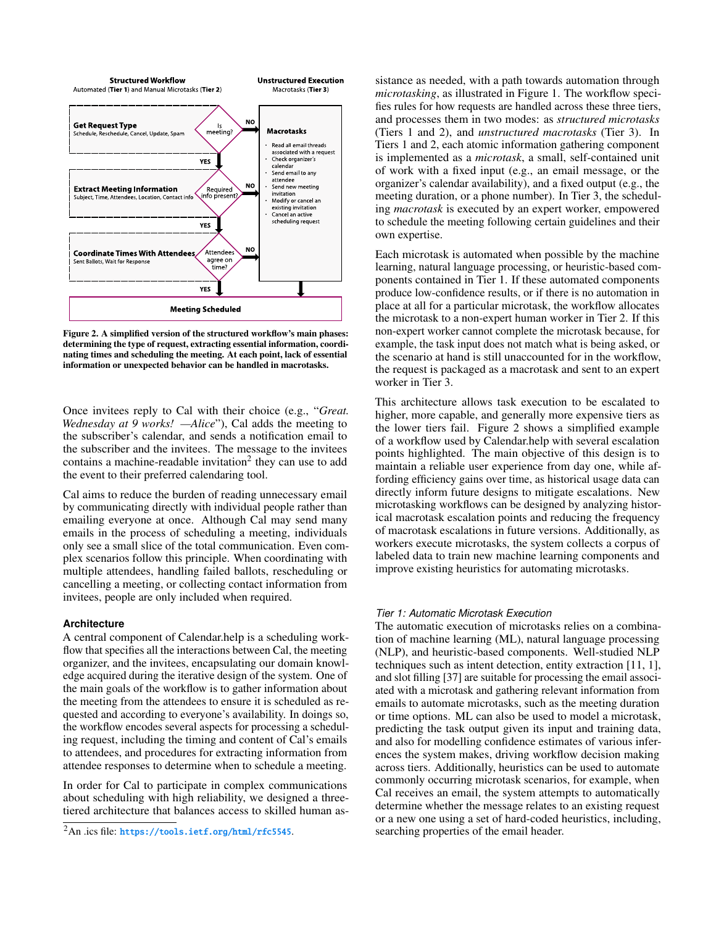

<span id="page-2-1"></span>Figure 2. A simplified version of the structured workflow's main phases: determining the type of request, extracting essential information, coordinating times and scheduling the meeting. At each point, lack of essential information or unexpected behavior can be handled in macrotasks.

Once invitees reply to Cal with their choice (e.g., "*Great. Wednesday at 9 works! —Alice*"), Cal adds the meeting to the subscriber's calendar, and sends a notification email to the subscriber and the invitees. The message to the invitees contains a machine-readable invitation<sup>[2](#page-2-0)</sup> they can use to add the event to their preferred calendaring tool.

Cal aims to reduce the burden of reading unnecessary email by communicating directly with individual people rather than emailing everyone at once. Although Cal may send many emails in the process of scheduling a meeting, individuals only see a small slice of the total communication. Even complex scenarios follow this principle. When coordinating with multiple attendees, handling failed ballots, rescheduling or cancelling a meeting, or collecting contact information from invitees, people are only included when required.

# **Architecture**

A central component of Calendar.help is a scheduling workflow that specifies all the interactions between Cal, the meeting organizer, and the invitees, encapsulating our domain knowledge acquired during the iterative design of the system. One of the main goals of the workflow is to gather information about the meeting from the attendees to ensure it is scheduled as requested and according to everyone's availability. In doings so, the workflow encodes several aspects for processing a scheduling request, including the timing and content of Cal's emails to attendees, and procedures for extracting information from attendee responses to determine when to schedule a meeting.

In order for Cal to participate in complex communications about scheduling with high reliability, we designed a threetiered architecture that balances access to skilled human assistance as needed, with a path towards automation through *microtasking*, as illustrated in Figure [1.](#page-0-0) The workflow specifies rules for how requests are handled across these three tiers, and processes them in two modes: as *structured microtasks* (Tiers 1 and 2), and *unstructured macrotasks* (Tier 3). In Tiers 1 and 2, each atomic information gathering component is implemented as a *microtask*, a small, self-contained unit of work with a fixed input (e.g., an email message, or the organizer's calendar availability), and a fixed output (e.g., the meeting duration, or a phone number). In Tier 3, the scheduling *macrotask* is executed by an expert worker, empowered to schedule the meeting following certain guidelines and their own expertise.

Each microtask is automated when possible by the machine learning, natural language processing, or heuristic-based components contained in Tier 1. If these automated components produce low-confidence results, or if there is no automation in place at all for a particular microtask, the workflow allocates the microtask to a non-expert human worker in Tier 2. If this non-expert worker cannot complete the microtask because, for example, the task input does not match what is being asked, or the scenario at hand is still unaccounted for in the workflow, the request is packaged as a macrotask and sent to an expert worker in Tier 3.

This architecture allows task execution to be escalated to higher, more capable, and generally more expensive tiers as the lower tiers fail. Figure [2](#page-2-1) shows a simplified example of a workflow used by Calendar.help with several escalation points highlighted. The main objective of this design is to maintain a reliable user experience from day one, while affording efficiency gains over time, as historical usage data can directly inform future designs to mitigate escalations. New microtasking workflows can be designed by analyzing historical macrotask escalation points and reducing the frequency of macrotask escalations in future versions. Additionally, as workers execute microtasks, the system collects a corpus of labeled data to train new machine learning components and improve existing heuristics for automating microtasks.

#### *Tier 1: Automatic Microtask Execution*

The automatic execution of microtasks relies on a combination of machine learning (ML), natural language processing (NLP), and heuristic-based components. Well-studied NLP techniques such as intent detection, entity extraction [\[11,](#page-10-17) [1\]](#page-10-18), and slot filling [\[37\]](#page-11-14) are suitable for processing the email associated with a microtask and gathering relevant information from emails to automate microtasks, such as the meeting duration or time options. ML can also be used to model a microtask, predicting the task output given its input and training data, and also for modelling confidence estimates of various inferences the system makes, driving workflow decision making across tiers. Additionally, heuristics can be used to automate commonly occurring microtask scenarios, for example, when Cal receives an email, the system attempts to automatically determine whether the message relates to an existing request or a new one using a set of hard-coded heuristics, including, searching properties of the email header.

<span id="page-2-0"></span><sup>&</sup>lt;sup>2</sup>An .ics file: <https://tools.ietf.org/html/rfc5545>.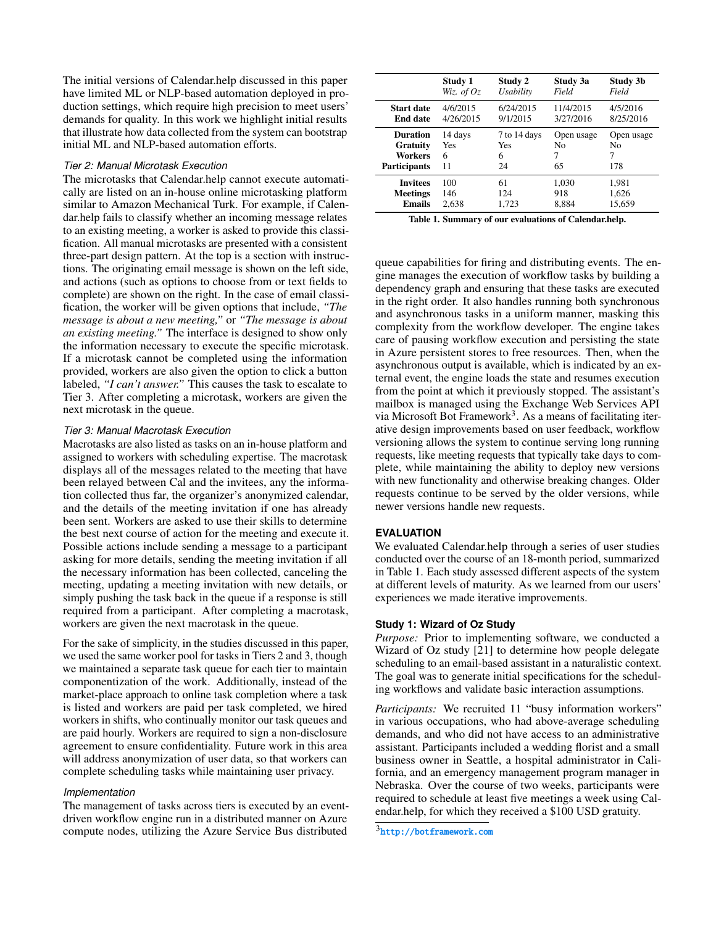The initial versions of Calendar.help discussed in this paper have limited ML or NLP-based automation deployed in production settings, which require high precision to meet users' demands for quality. In this work we highlight initial results that illustrate how data collected from the system can bootstrap initial ML and NLP-based automation efforts.

# *Tier 2: Manual Microtask Execution*

The microtasks that Calendar.help cannot execute automatically are listed on an in-house online microtasking platform similar to Amazon Mechanical Turk. For example, if Calendar.help fails to classify whether an incoming message relates to an existing meeting, a worker is asked to provide this classification. All manual microtasks are presented with a consistent three-part design pattern. At the top is a section with instructions. The originating email message is shown on the left side, and actions (such as options to choose from or text fields to complete) are shown on the right. In the case of email classification, the worker will be given options that include, *"The message is about a new meeting,"* or *"The message is about an existing meeting."* The interface is designed to show only the information necessary to execute the specific microtask. If a microtask cannot be completed using the information provided, workers are also given the option to click a button labeled, *"I can't answer."* This causes the task to escalate to Tier 3. After completing a microtask, workers are given the next microtask in the queue.

# *Tier 3: Manual Macrotask Execution*

Macrotasks are also listed as tasks on an in-house platform and assigned to workers with scheduling expertise. The macrotask displays all of the messages related to the meeting that have been relayed between Cal and the invitees, any the information collected thus far, the organizer's anonymized calendar, and the details of the meeting invitation if one has already been sent. Workers are asked to use their skills to determine the best next course of action for the meeting and execute it. Possible actions include sending a message to a participant asking for more details, sending the meeting invitation if all the necessary information has been collected, canceling the meeting, updating a meeting invitation with new details, or simply pushing the task back in the queue if a response is still required from a participant. After completing a macrotask, workers are given the next macrotask in the queue.

For the sake of simplicity, in the studies discussed in this paper, we used the same worker pool for tasks in Tiers 2 and 3, though we maintained a separate task queue for each tier to maintain componentization of the work. Additionally, instead of the market-place approach to online task completion where a task is listed and workers are paid per task completed, we hired workers in shifts, who continually monitor our task queues and are paid hourly. Workers are required to sign a non-disclosure agreement to ensure confidentiality. Future work in this area will address anonymization of user data, so that workers can complete scheduling tasks while maintaining user privacy.

## *Implementation*

The management of tasks across tiers is executed by an eventdriven workflow engine run in a distributed manner on Azure compute nodes, utilizing the Azure Service Bus distributed

|                     | Study 1      | Study 2      | Study 3a   | Study 3b   |
|---------------------|--------------|--------------|------------|------------|
|                     | Wiz. of $Oz$ | Usability    | Field      | Field      |
| Start date          | 4/6/2015     | 6/24/2015    | 11/4/2015  | 4/5/2016   |
| <b>End date</b>     | 4/26/2015    | 9/1/2015     | 3/27/2016  | 8/25/2016  |
| <b>Duration</b>     | 14 days      | 7 to 14 days | Open usage | Open usage |
| Gratuity            | Yes          | Yes          | Nο         | Nο         |
| Workers             | 6            | 6            | 7          | 7          |
| <b>Participants</b> | 11           | 24           | 65         | 178        |
| <b>Invitees</b>     | 100          | 61           | 1.030      | 1,981      |
| <b>Meetings</b>     | 146          | 124          | 918        | 1.626      |
| <b>Emails</b>       | 2.638        | 1,723        | 8.884      | 15,659     |

<span id="page-3-1"></span>Table 1. Summary of our evaluations of Calendar.help.

queue capabilities for firing and distributing events. The engine manages the execution of workflow tasks by building a dependency graph and ensuring that these tasks are executed in the right order. It also handles running both synchronous and asynchronous tasks in a uniform manner, masking this complexity from the workflow developer. The engine takes care of pausing workflow execution and persisting the state in Azure persistent stores to free resources. Then, when the asynchronous output is available, which is indicated by an external event, the engine loads the state and resumes execution from the point at which it previously stopped. The assistant's mailbox is managed using the Exchange Web Services API via Microsoft Bot Framework<sup>[3](#page-3-0)</sup>. As a means of facilitating iterative design improvements based on user feedback, workflow versioning allows the system to continue serving long running requests, like meeting requests that typically take days to complete, while maintaining the ability to deploy new versions with new functionality and otherwise breaking changes. Older requests continue to be served by the older versions, while newer versions handle new requests.

## **EVALUATION**

We evaluated Calendar.help through a series of user studies conducted over the course of an 18-month period, summarized in Table [1.](#page-3-1) Each study assessed different aspects of the system at different levels of maturity. As we learned from our users' experiences we made iterative improvements.

# **Study 1: Wizard of Oz Study**

*Purpose:* Prior to implementing software, we conducted a Wizard of Oz study [\[21\]](#page-10-19) to determine how people delegate scheduling to an email-based assistant in a naturalistic context. The goal was to generate initial specifications for the scheduling workflows and validate basic interaction assumptions.

*Participants:* We recruited 11 "busy information workers" in various occupations, who had above-average scheduling demands, and who did not have access to an administrative assistant. Participants included a wedding florist and a small business owner in Seattle, a hospital administrator in California, and an emergency management program manager in Nebraska. Over the course of two weeks, participants were required to schedule at least five meetings a week using Calendar.help, for which they received a \$100 USD gratuity.

<span id="page-3-0"></span><sup>3</sup> <http://botframework.com>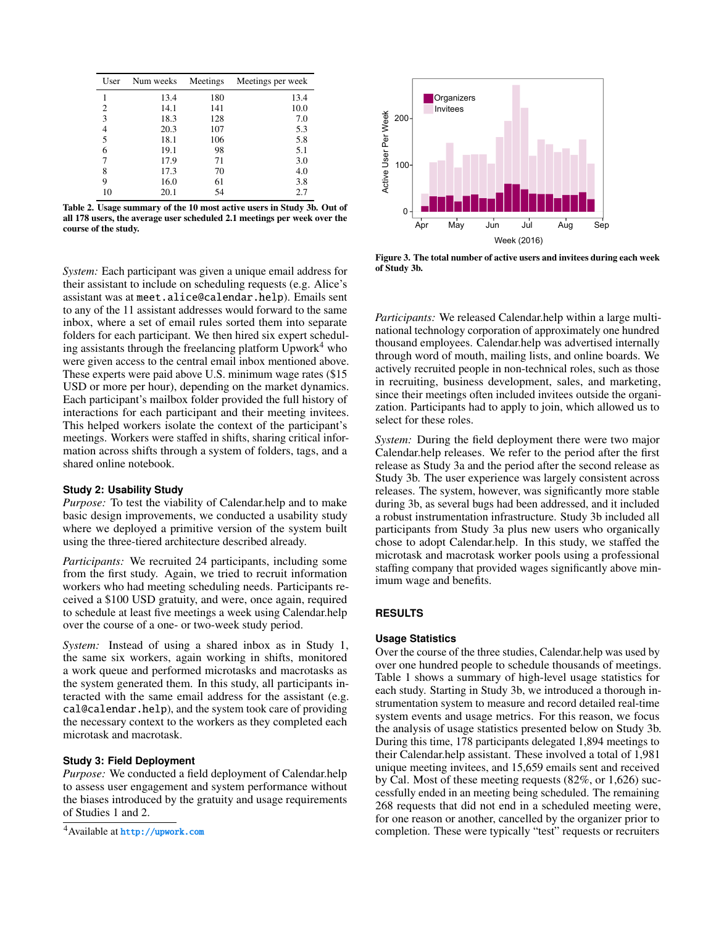| User | Num weeks | Meetings | Meetings per week |
|------|-----------|----------|-------------------|
|      | 13.4      | 180      | 13.4              |
| 2    | 14.1      | 141      | 10.0              |
| 3    | 18.3      | 128      | 7.0               |
| 4    | 20.3      | 107      | 5.3               |
| 5    | 18.1      | 106      | 5.8               |
| 6    | 19.1      | 98       | 5.1               |
| 7    | 17.9      | 71       | 3.0               |
| 8    | 17.3      | 70       | 4.0               |
| 9    | 16.0      | 61       | 3.8               |
|      | 20.1      | 54       | 2.7               |

<span id="page-4-2"></span>Table 2. Usage summary of the 10 most active users in Study 3b. Out of all 178 users, the average user scheduled 2.1 meetings per week over the course of the study.

*System:* Each participant was given a unique email address for their assistant to include on scheduling requests (e.g. Alice's assistant was at meet.alice@calendar.help). Emails sent to any of the 11 assistant addresses would forward to the same inbox, where a set of email rules sorted them into separate folders for each participant. We then hired six expert scheduling assistants through the freelancing platform  $Upwork<sup>4</sup>$  $Upwork<sup>4</sup>$  $Upwork<sup>4</sup>$  who were given access to the central email inbox mentioned above. These experts were paid above U.S. minimum wage rates (\$15 USD or more per hour), depending on the market dynamics. Each participant's mailbox folder provided the full history of interactions for each participant and their meeting invitees. This helped workers isolate the context of the participant's meetings. Workers were staffed in shifts, sharing critical information across shifts through a system of folders, tags, and a shared online notebook.

# **Study 2: Usability Study**

*Purpose:* To test the viability of Calendar.help and to make basic design improvements, we conducted a usability study where we deployed a primitive version of the system built using the three-tiered architecture described already.

*Participants:* We recruited 24 participants, including some from the first study. Again, we tried to recruit information workers who had meeting scheduling needs. Participants received a \$100 USD gratuity, and were, once again, required to schedule at least five meetings a week using Calendar.help over the course of a one- or two-week study period.

*System:* Instead of using a shared inbox as in Study 1, the same six workers, again working in shifts, monitored a work queue and performed microtasks and macrotasks as the system generated them. In this study, all participants interacted with the same email address for the assistant (e.g. cal@calendar.help), and the system took care of providing the necessary context to the workers as they completed each microtask and macrotask.

## **Study 3: Field Deployment**

*Purpose:* We conducted a field deployment of Calendar.help to assess user engagement and system performance without the biases introduced by the gratuity and usage requirements of Studies 1 and 2.



<span id="page-4-1"></span>Figure 3. The total number of active users and invitees during each week of Study 3b.

*Participants:* We released Calendar.help within a large multinational technology corporation of approximately one hundred thousand employees. Calendar.help was advertised internally through word of mouth, mailing lists, and online boards. We actively recruited people in non-technical roles, such as those in recruiting, business development, sales, and marketing, since their meetings often included invitees outside the organization. Participants had to apply to join, which allowed us to select for these roles.

*System:* During the field deployment there were two major Calendar.help releases. We refer to the period after the first release as Study 3a and the period after the second release as Study 3b. The user experience was largely consistent across releases. The system, however, was significantly more stable during 3b, as several bugs had been addressed, and it included a robust instrumentation infrastructure. Study 3b included all participants from Study 3a plus new users who organically chose to adopt Calendar.help. In this study, we staffed the microtask and macrotask worker pools using a professional staffing company that provided wages significantly above minimum wage and benefits.

# **RESULTS**

#### **Usage Statistics**

Over the course of the three studies, Calendar.help was used by over one hundred people to schedule thousands of meetings. Table [1](#page-3-1) shows a summary of high-level usage statistics for each study. Starting in Study 3b, we introduced a thorough instrumentation system to measure and record detailed real-time system events and usage metrics. For this reason, we focus the analysis of usage statistics presented below on Study 3b. During this time, 178 participants delegated 1,894 meetings to their Calendar.help assistant. These involved a total of 1,981 unique meeting invitees, and 15,659 emails sent and received by Cal. Most of these meeting requests (82%, or 1,626) successfully ended in an meeting being scheduled. The remaining 268 requests that did not end in a scheduled meeting were, for one reason or another, cancelled by the organizer prior to completion. These were typically "test" requests or recruiters

<span id="page-4-0"></span><sup>4</sup>Available at <http://upwork.com>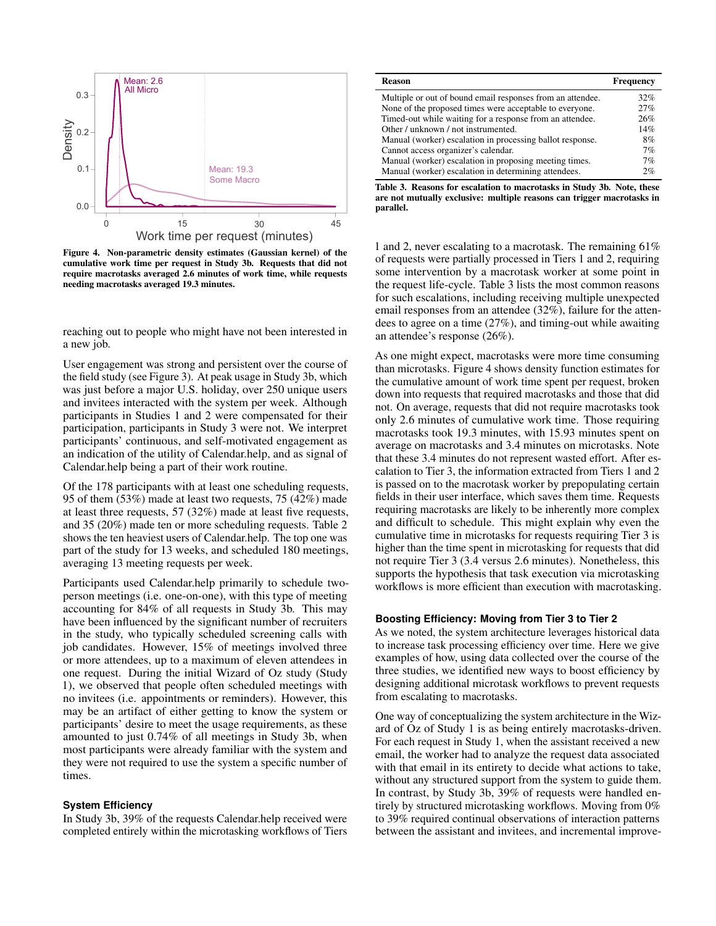

<span id="page-5-1"></span>Figure 4. Non-parametric density estimates (Gaussian kernel) of the cumulative work time per request in Study 3b. Requests that did not require macrotasks averaged 2.6 minutes of work time, while requests needing macrotasks averaged 19.3 minutes.

reaching out to people who might have not been interested in a new job.

User engagement was strong and persistent over the course of the field study (see Figure [3\)](#page-4-1). At peak usage in Study 3b, which was just before a major U.S. holiday, over 250 unique users and invitees interacted with the system per week. Although participants in Studies 1 and 2 were compensated for their participation, participants in Study 3 were not. We interpret participants' continuous, and self-motivated engagement as an indication of the utility of Calendar.help, and as signal of Calendar.help being a part of their work routine.

Of the 178 participants with at least one scheduling requests, 95 of them (53%) made at least two requests, 75 (42%) made at least three requests, 57 (32%) made at least five requests, and 35 (20%) made ten or more scheduling requests. Table [2](#page-4-2) shows the ten heaviest users of Calendar.help. The top one was part of the study for 13 weeks, and scheduled 180 meetings, averaging 13 meeting requests per week.

Participants used Calendar.help primarily to schedule twoperson meetings (i.e. one-on-one), with this type of meeting accounting for 84% of all requests in Study 3b. This may have been influenced by the significant number of recruiters in the study, who typically scheduled screening calls with job candidates. However, 15% of meetings involved three or more attendees, up to a maximum of eleven attendees in one request. During the initial Wizard of Oz study (Study 1), we observed that people often scheduled meetings with no invitees (i.e. appointments or reminders). However, this may be an artifact of either getting to know the system or participants' desire to meet the usage requirements, as these amounted to just 0.74% of all meetings in Study 3b, when most participants were already familiar with the system and they were not required to use the system a specific number of times.

# **System Efficiency**

In Study 3b, 39% of the requests Calendar.help received were completed entirely within the microtasking workflows of Tiers

| <b>Reason</b>                                              | Frequency |
|------------------------------------------------------------|-----------|
| Multiple or out of bound email responses from an attendee. | 32%       |
| None of the proposed times were acceptable to everyone.    | 27%       |
| Timed-out while waiting for a response from an attendee.   | 26%       |
| Other / unknown / not instrumented.                        | 14%       |
| Manual (worker) escalation in processing ballot response.  | 8%        |
| Cannot access organizer's calendar.                        | 7%        |
| Manual (worker) escalation in proposing meeting times.     | 7%        |
| Manual (worker) escalation in determining attendees.       | 2%        |

<span id="page-5-0"></span>Table 3. Reasons for escalation to macrotasks in Study 3b. Note, these are not mutually exclusive: multiple reasons can trigger macrotasks in parallel.

1 and 2, never escalating to a macrotask. The remaining 61% of requests were partially processed in Tiers 1 and 2, requiring some intervention by a macrotask worker at some point in the request life-cycle. Table [3](#page-5-0) lists the most common reasons for such escalations, including receiving multiple unexpected email responses from an attendee (32%), failure for the attendees to agree on a time (27%), and timing-out while awaiting an attendee's response (26%).

As one might expect, macrotasks were more time consuming than microtasks. Figure [4](#page-5-1) shows density function estimates for the cumulative amount of work time spent per request, broken down into requests that required macrotasks and those that did not. On average, requests that did not require macrotasks took only 2.6 minutes of cumulative work time. Those requiring macrotasks took 19.3 minutes, with 15.93 minutes spent on average on macrotasks and 3.4 minutes on microtasks. Note that these 3.4 minutes do not represent wasted effort. After escalation to Tier 3, the information extracted from Tiers 1 and 2 is passed on to the macrotask worker by prepopulating certain fields in their user interface, which saves them time. Requests requiring macrotasks are likely to be inherently more complex and difficult to schedule. This might explain why even the cumulative time in microtasks for requests requiring Tier 3 is higher than the time spent in microtasking for requests that did not require Tier 3 (3.4 versus 2.6 minutes). Nonetheless, this supports the hypothesis that task execution via microtasking workflows is more efficient than execution with macrotasking.

#### **Boosting Efficiency: Moving from Tier 3 to Tier 2**

As we noted, the system architecture leverages historical data to increase task processing efficiency over time. Here we give examples of how, using data collected over the course of the three studies, we identified new ways to boost efficiency by designing additional microtask workflows to prevent requests from escalating to macrotasks.

One way of conceptualizing the system architecture in the Wizard of Oz of Study 1 is as being entirely macrotasks-driven. For each request in Study 1, when the assistant received a new email, the worker had to analyze the request data associated with that email in its entirety to decide what actions to take, without any structured support from the system to guide them. In contrast, by Study 3b, 39% of requests were handled entirely by structured microtasking workflows. Moving from 0% to 39% required continual observations of interaction patterns between the assistant and invitees, and incremental improve-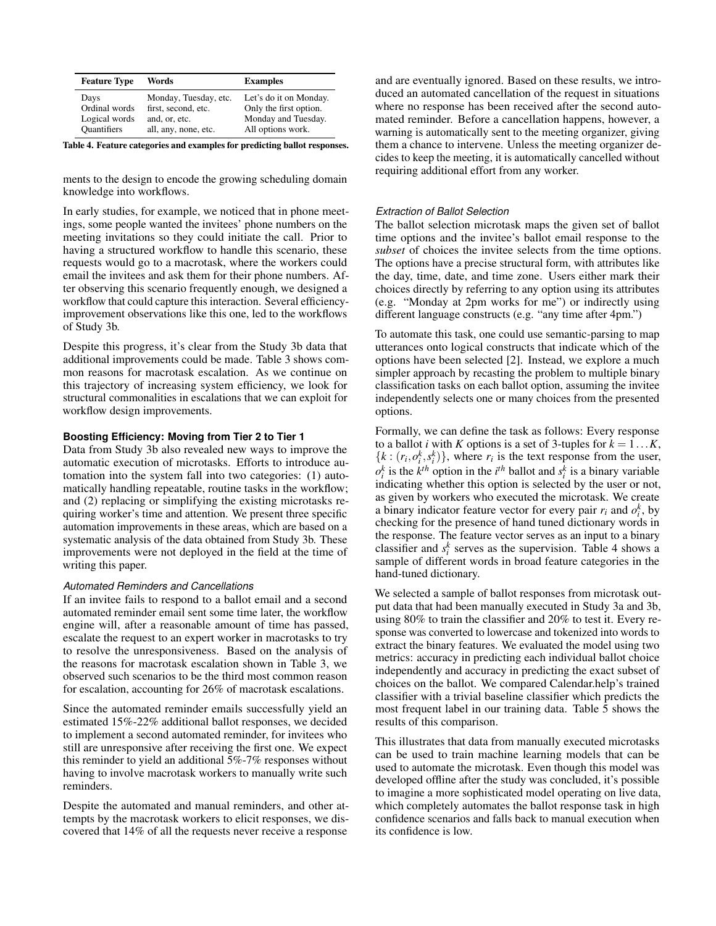| <b>Feature Type</b> | Words                 | <b>Examples</b>        |
|---------------------|-----------------------|------------------------|
| Days                | Monday, Tuesday, etc. | Let's do it on Monday. |
| Ordinal words       | first, second, etc.   | Only the first option. |
| Logical words       | and, or, etc.         | Monday and Tuesday.    |
| <b>Quantifiers</b>  | all, any, none, etc.  | All options work.      |

<span id="page-6-0"></span>Table 4. Feature categories and examples for predicting ballot responses.

ments to the design to encode the growing scheduling domain knowledge into workflows.

In early studies, for example, we noticed that in phone meetings, some people wanted the invitees' phone numbers on the meeting invitations so they could initiate the call. Prior to having a structured workflow to handle this scenario, these requests would go to a macrotask, where the workers could email the invitees and ask them for their phone numbers. After observing this scenario frequently enough, we designed a workflow that could capture this interaction. Several efficiencyimprovement observations like this one, led to the workflows of Study 3b.

Despite this progress, it's clear from the Study 3b data that additional improvements could be made. Table [3](#page-5-0) shows common reasons for macrotask escalation. As we continue on this trajectory of increasing system efficiency, we look for structural commonalities in escalations that we can exploit for workflow design improvements.

# **Boosting Efficiency: Moving from Tier 2 to Tier 1**

Data from Study 3b also revealed new ways to improve the automatic execution of microtasks. Efforts to introduce automation into the system fall into two categories: (1) automatically handling repeatable, routine tasks in the workflow; and (2) replacing or simplifying the existing microtasks requiring worker's time and attention. We present three specific automation improvements in these areas, which are based on a systematic analysis of the data obtained from Study 3b. These improvements were not deployed in the field at the time of writing this paper.

#### *Automated Reminders and Cancellations*

If an invitee fails to respond to a ballot email and a second automated reminder email sent some time later, the workflow engine will, after a reasonable amount of time has passed, escalate the request to an expert worker in macrotasks to try to resolve the unresponsiveness. Based on the analysis of the reasons for macrotask escalation shown in Table [3,](#page-5-0) we observed such scenarios to be the third most common reason for escalation, accounting for 26% of macrotask escalations.

Since the automated reminder emails successfully yield an estimated 15%-22% additional ballot responses, we decided to implement a second automated reminder, for invitees who still are unresponsive after receiving the first one. We expect this reminder to yield an additional 5%-7% responses without having to involve macrotask workers to manually write such reminders.

Despite the automated and manual reminders, and other attempts by the macrotask workers to elicit responses, we discovered that 14% of all the requests never receive a response and are eventually ignored. Based on these results, we introduced an automated cancellation of the request in situations where no response has been received after the second automated reminder. Before a cancellation happens, however, a warning is automatically sent to the meeting organizer, giving them a chance to intervene. Unless the meeting organizer decides to keep the meeting, it is automatically cancelled without requiring additional effort from any worker.

#### *Extraction of Ballot Selection*

The ballot selection microtask maps the given set of ballot time options and the invitee's ballot email response to the *subset* of choices the invitee selects from the time options. The options have a precise structural form, with attributes like the day, time, date, and time zone. Users either mark their choices directly by referring to any option using its attributes (e.g. "Monday at 2pm works for me") or indirectly using different language constructs (e.g. "any time after 4pm.")

To automate this task, one could use semantic-parsing to map utterances onto logical constructs that indicate which of the options have been selected [\[2\]](#page-10-20). Instead, we explore a much simpler approach by recasting the problem to multiple binary classification tasks on each ballot option, assuming the invitee independently selects one or many choices from the presented options.

Formally, we can define the task as follows: Every response to a ballot *i* with *K* options is a set of 3-tuples for  $k = 1...K$ ,  ${k : (r_i, o_i^k, s_i^k)}$ , where  $r_i$  is the text response from the user,  $o_i^k$  is the  $k^{th}$  option in the *i*<sup>th</sup> ballot and  $s_i^k$  is a binary variable indicating whether this option is selected by the user or not, as given by workers who executed the microtask. We create a binary indicator feature vector for every pair  $r_i$  and  $o_i^k$ , by checking for the presence of hand tuned dictionary words in the response. The feature vector serves as an input to a binary classifier and  $s_i^k$  serves as the supervision. Table [4](#page-6-0) shows a sample of different words in broad feature categories in the hand-tuned dictionary.

We selected a sample of ballot responses from microtask output data that had been manually executed in Study 3a and 3b, using 80% to train the classifier and 20% to test it. Every response was converted to lowercase and tokenized into words to extract the binary features. We evaluated the model using two metrics: accuracy in predicting each individual ballot choice independently and accuracy in predicting the exact subset of choices on the ballot. We compared Calendar.help's trained classifier with a trivial baseline classifier which predicts the most frequent label in our training data. Table [5](#page-7-0) shows the results of this comparison.

This illustrates that data from manually executed microtasks can be used to train machine learning models that can be used to automate the microtask. Even though this model was developed offline after the study was concluded, it's possible to imagine a more sophisticated model operating on live data, which completely automates the ballot response task in high confidence scenarios and falls back to manual execution when its confidence is low.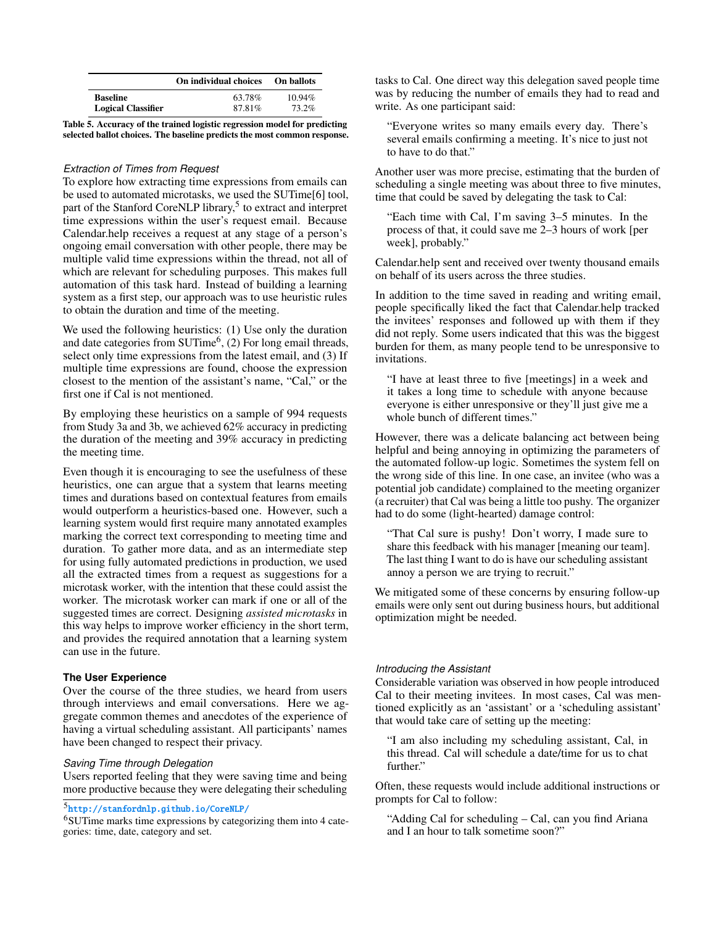|                           | On individual choices | On ballots |
|---------------------------|-----------------------|------------|
| <b>Baseline</b>           | 63.78%                | 1094%      |
| <b>Logical Classifier</b> | 87.81%                | 73.2%      |

<span id="page-7-0"></span>Table 5. Accuracy of the trained logistic regression model for predicting selected ballot choices. The baseline predicts the most common response.

# *Extraction of Times from Request*

To explore how extracting time expressions from emails can be used to automated microtasks, we used the SUTime[\[6\]](#page-10-21) tool, part of the Stanford CoreNLP library,<sup>[5](#page-7-1)</sup> to extract and interpret time expressions within the user's request email. Because Calendar.help receives a request at any stage of a person's ongoing email conversation with other people, there may be multiple valid time expressions within the thread, not all of which are relevant for scheduling purposes. This makes full automation of this task hard. Instead of building a learning system as a first step, our approach was to use heuristic rules to obtain the duration and time of the meeting.

We used the following heuristics: (1) Use only the duration and date categories from SUTime<sup>[6](#page-7-2)</sup>, (2) For long email threads, select only time expressions from the latest email, and (3) If multiple time expressions are found, choose the expression closest to the mention of the assistant's name, "Cal," or the first one if Cal is not mentioned.

By employing these heuristics on a sample of 994 requests from Study 3a and 3b, we achieved 62% accuracy in predicting the duration of the meeting and 39% accuracy in predicting the meeting time.

Even though it is encouraging to see the usefulness of these heuristics, one can argue that a system that learns meeting times and durations based on contextual features from emails would outperform a heuristics-based one. However, such a learning system would first require many annotated examples marking the correct text corresponding to meeting time and duration. To gather more data, and as an intermediate step for using fully automated predictions in production, we used all the extracted times from a request as suggestions for a microtask worker, with the intention that these could assist the worker. The microtask worker can mark if one or all of the suggested times are correct. Designing *assisted microtasks* in this way helps to improve worker efficiency in the short term, and provides the required annotation that a learning system can use in the future.

## **The User Experience**

Over the course of the three studies, we heard from users through interviews and email conversations. Here we aggregate common themes and anecdotes of the experience of having a virtual scheduling assistant. All participants' names have been changed to respect their privacy.

# *Saving Time through Delegation*

Users reported feeling that they were saving time and being more productive because they were delegating their scheduling

# <span id="page-7-1"></span>5 <http://stanfordnlp.github.io/CoreNLP/>

<span id="page-7-2"></span><sup>6</sup>SUTime marks time expressions by categorizing them into 4 categories: time, date, category and set.

tasks to Cal. One direct way this delegation saved people time was by reducing the number of emails they had to read and write. As one participant said:

"Everyone writes so many emails every day. There's several emails confirming a meeting. It's nice to just not to have to do that."

Another user was more precise, estimating that the burden of scheduling a single meeting was about three to five minutes, time that could be saved by delegating the task to Cal:

"Each time with Cal, I'm saving 3–5 minutes. In the process of that, it could save me 2–3 hours of work [per week], probably."

Calendar.help sent and received over twenty thousand emails on behalf of its users across the three studies.

In addition to the time saved in reading and writing email, people specifically liked the fact that Calendar.help tracked the invitees' responses and followed up with them if they did not reply. Some users indicated that this was the biggest burden for them, as many people tend to be unresponsive to invitations.

"I have at least three to five [meetings] in a week and it takes a long time to schedule with anyone because everyone is either unresponsive or they'll just give me a whole bunch of different times."

However, there was a delicate balancing act between being helpful and being annoying in optimizing the parameters of the automated follow-up logic. Sometimes the system fell on the wrong side of this line. In one case, an invitee (who was a potential job candidate) complained to the meeting organizer (a recruiter) that Cal was being a little too pushy. The organizer had to do some (light-hearted) damage control:

"That Cal sure is pushy! Don't worry, I made sure to share this feedback with his manager [meaning our team]. The last thing I want to do is have our scheduling assistant annoy a person we are trying to recruit."

We mitigated some of these concerns by ensuring follow-up emails were only sent out during business hours, but additional optimization might be needed.

# *Introducing the Assistant*

Considerable variation was observed in how people introduced Cal to their meeting invitees. In most cases, Cal was mentioned explicitly as an 'assistant' or a 'scheduling assistant' that would take care of setting up the meeting:

"I am also including my scheduling assistant, Cal, in this thread. Cal will schedule a date/time for us to chat further."

Often, these requests would include additional instructions or prompts for Cal to follow:

"Adding Cal for scheduling – Cal, can you find Ariana and I an hour to talk sometime soon?"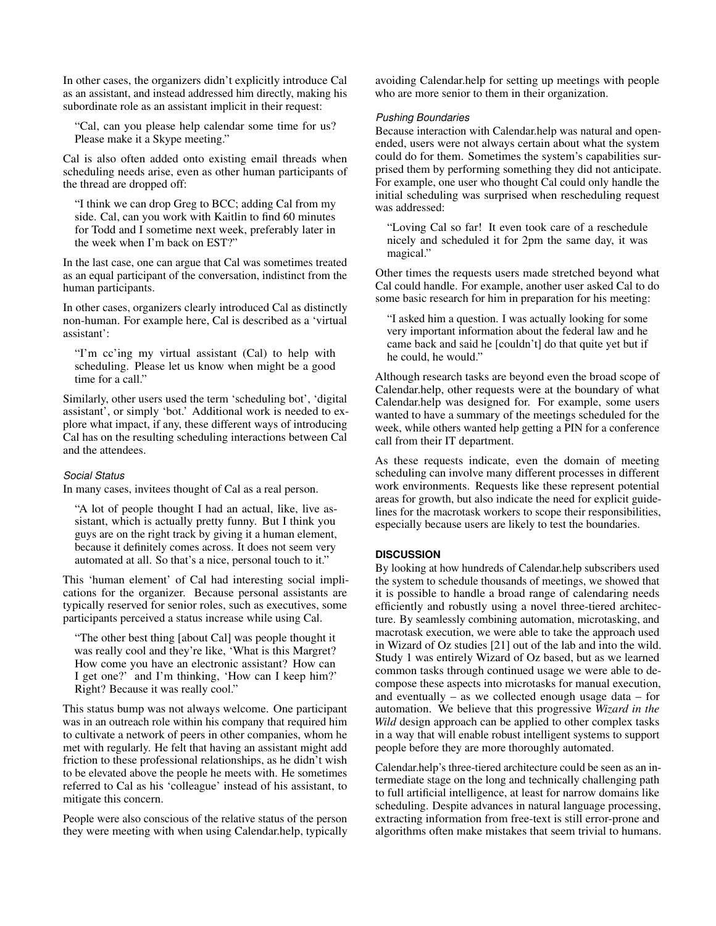In other cases, the organizers didn't explicitly introduce Cal as an assistant, and instead addressed him directly, making his subordinate role as an assistant implicit in their request:

"Cal, can you please help calendar some time for us? Please make it a Skype meeting."

Cal is also often added onto existing email threads when scheduling needs arise, even as other human participants of the thread are dropped off:

"I think we can drop Greg to BCC; adding Cal from my side. Cal, can you work with Kaitlin to find 60 minutes for Todd and I sometime next week, preferably later in the week when I'm back on EST?"

In the last case, one can argue that Cal was sometimes treated as an equal participant of the conversation, indistinct from the human participants.

In other cases, organizers clearly introduced Cal as distinctly non-human. For example here, Cal is described as a 'virtual assistant':

"I'm cc'ing my virtual assistant (Cal) to help with scheduling. Please let us know when might be a good time for a call."

Similarly, other users used the term 'scheduling bot', 'digital assistant', or simply 'bot.' Additional work is needed to explore what impact, if any, these different ways of introducing Cal has on the resulting scheduling interactions between Cal and the attendees.

# *Social Status*

In many cases, invitees thought of Cal as a real person.

"A lot of people thought I had an actual, like, live assistant, which is actually pretty funny. But I think you guys are on the right track by giving it a human element, because it definitely comes across. It does not seem very automated at all. So that's a nice, personal touch to it."

This 'human element' of Cal had interesting social implications for the organizer. Because personal assistants are typically reserved for senior roles, such as executives, some participants perceived a status increase while using Cal.

"The other best thing [about Cal] was people thought it was really cool and they're like, 'What is this Margret? How come you have an electronic assistant? How can I get one?' and I'm thinking, 'How can I keep him?' Right? Because it was really cool."

This status bump was not always welcome. One participant was in an outreach role within his company that required him to cultivate a network of peers in other companies, whom he met with regularly. He felt that having an assistant might add friction to these professional relationships, as he didn't wish to be elevated above the people he meets with. He sometimes referred to Cal as his 'colleague' instead of his assistant, to mitigate this concern.

People were also conscious of the relative status of the person they were meeting with when using Calendar.help, typically avoiding Calendar.help for setting up meetings with people who are more senior to them in their organization.

# *Pushing Boundaries*

Because interaction with Calendar.help was natural and openended, users were not always certain about what the system could do for them. Sometimes the system's capabilities surprised them by performing something they did not anticipate. For example, one user who thought Cal could only handle the initial scheduling was surprised when rescheduling request was addressed:

"Loving Cal so far! It even took care of a reschedule nicely and scheduled it for 2pm the same day, it was magical."

Other times the requests users made stretched beyond what Cal could handle. For example, another user asked Cal to do some basic research for him in preparation for his meeting:

"I asked him a question. I was actually looking for some very important information about the federal law and he came back and said he [couldn't] do that quite yet but if he could, he would."

Although research tasks are beyond even the broad scope of Calendar.help, other requests were at the boundary of what Calendar.help was designed for. For example, some users wanted to have a summary of the meetings scheduled for the week, while others wanted help getting a PIN for a conference call from their IT department.

As these requests indicate, even the domain of meeting scheduling can involve many different processes in different work environments. Requests like these represent potential areas for growth, but also indicate the need for explicit guidelines for the macrotask workers to scope their responsibilities, especially because users are likely to test the boundaries.

# **DISCUSSION**

By looking at how hundreds of Calendar.help subscribers used the system to schedule thousands of meetings, we showed that it is possible to handle a broad range of calendaring needs efficiently and robustly using a novel three-tiered architecture. By seamlessly combining automation, microtasking, and macrotask execution, we were able to take the approach used in Wizard of Oz studies [\[21\]](#page-10-19) out of the lab and into the wild. Study 1 was entirely Wizard of Oz based, but as we learned common tasks through continued usage we were able to decompose these aspects into microtasks for manual execution, and eventually – as we collected enough usage data – for automation. We believe that this progressive *Wizard in the Wild* design approach can be applied to other complex tasks in a way that will enable robust intelligent systems to support people before they are more thoroughly automated.

Calendar.help's three-tiered architecture could be seen as an intermediate stage on the long and technically challenging path to full artificial intelligence, at least for narrow domains like scheduling. Despite advances in natural language processing, extracting information from free-text is still error-prone and algorithms often make mistakes that seem trivial to humans.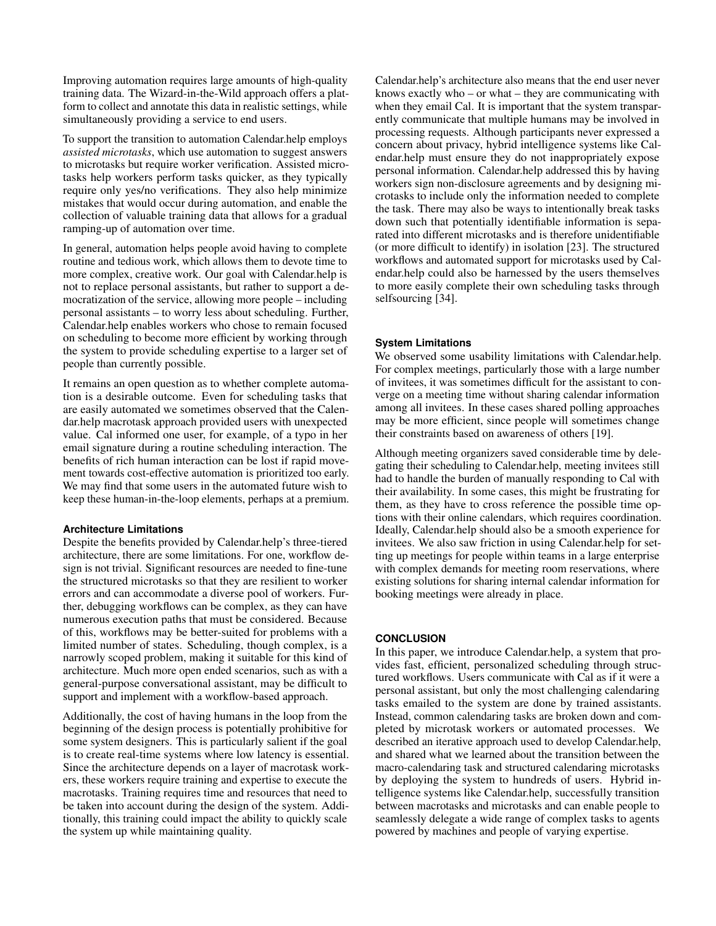Improving automation requires large amounts of high-quality training data. The Wizard-in-the-Wild approach offers a platform to collect and annotate this data in realistic settings, while simultaneously providing a service to end users.

To support the transition to automation Calendar.help employs *assisted microtasks*, which use automation to suggest answers to microtasks but require worker verification. Assisted microtasks help workers perform tasks quicker, as they typically require only yes/no verifications. They also help minimize mistakes that would occur during automation, and enable the collection of valuable training data that allows for a gradual ramping-up of automation over time.

In general, automation helps people avoid having to complete routine and tedious work, which allows them to devote time to more complex, creative work. Our goal with Calendar.help is not to replace personal assistants, but rather to support a democratization of the service, allowing more people – including personal assistants – to worry less about scheduling. Further, Calendar.help enables workers who chose to remain focused on scheduling to become more efficient by working through the system to provide scheduling expertise to a larger set of people than currently possible.

It remains an open question as to whether complete automation is a desirable outcome. Even for scheduling tasks that are easily automated we sometimes observed that the Calendar.help macrotask approach provided users with unexpected value. Cal informed one user, for example, of a typo in her email signature during a routine scheduling interaction. The benefits of rich human interaction can be lost if rapid movement towards cost-effective automation is prioritized too early. We may find that some users in the automated future wish to keep these human-in-the-loop elements, perhaps at a premium.

# **Architecture Limitations**

Despite the benefits provided by Calendar.help's three-tiered architecture, there are some limitations. For one, workflow design is not trivial. Significant resources are needed to fine-tune the structured microtasks so that they are resilient to worker errors and can accommodate a diverse pool of workers. Further, debugging workflows can be complex, as they can have numerous execution paths that must be considered. Because of this, workflows may be better-suited for problems with a limited number of states. Scheduling, though complex, is a narrowly scoped problem, making it suitable for this kind of architecture. Much more open ended scenarios, such as with a general-purpose conversational assistant, may be difficult to support and implement with a workflow-based approach.

Additionally, the cost of having humans in the loop from the beginning of the design process is potentially prohibitive for some system designers. This is particularly salient if the goal is to create real-time systems where low latency is essential. Since the architecture depends on a layer of macrotask workers, these workers require training and expertise to execute the macrotasks. Training requires time and resources that need to be taken into account during the design of the system. Additionally, this training could impact the ability to quickly scale the system up while maintaining quality.

Calendar.help's architecture also means that the end user never knows exactly who – or what – they are communicating with when they email Cal. It is important that the system transparently communicate that multiple humans may be involved in processing requests. Although participants never expressed a concern about privacy, hybrid intelligence systems like Calendar.help must ensure they do not inappropriately expose personal information. Calendar.help addressed this by having workers sign non-disclosure agreements and by designing microtasks to include only the information needed to complete the task. There may also be ways to intentionally break tasks down such that potentially identifiable information is separated into different microtasks and is therefore unidentifiable (or more difficult to identify) in isolation [\[23\]](#page-11-15). The structured workflows and automated support for microtasks used by Calendar.help could also be harnessed by the users themselves to more easily complete their own scheduling tasks through selfsourcing [\[34\]](#page-11-16).

# **System Limitations**

We observed some usability limitations with Calendar.help. For complex meetings, particularly those with a large number of invitees, it was sometimes difficult for the assistant to converge on a meeting time without sharing calendar information among all invitees. In these cases shared polling approaches may be more efficient, since people will sometimes change their constraints based on awareness of others [\[19\]](#page-10-5).

Although meeting organizers saved considerable time by delegating their scheduling to Calendar.help, meeting invitees still had to handle the burden of manually responding to Cal with their availability. In some cases, this might be frustrating for them, as they have to cross reference the possible time options with their online calendars, which requires coordination. Ideally, Calendar.help should also be a smooth experience for invitees. We also saw friction in using Calendar.help for setting up meetings for people within teams in a large enterprise with complex demands for meeting room reservations, where existing solutions for sharing internal calendar information for booking meetings were already in place.

# **CONCLUSION**

In this paper, we introduce Calendar.help, a system that provides fast, efficient, personalized scheduling through structured workflows. Users communicate with Cal as if it were a personal assistant, but only the most challenging calendaring tasks emailed to the system are done by trained assistants. Instead, common calendaring tasks are broken down and completed by microtask workers or automated processes. We described an iterative approach used to develop Calendar.help, and shared what we learned about the transition between the macro-calendaring task and structured calendaring microtasks by deploying the system to hundreds of users. Hybrid intelligence systems like Calendar.help, successfully transition between macrotasks and microtasks and can enable people to seamlessly delegate a wide range of complex tasks to agents powered by machines and people of varying expertise.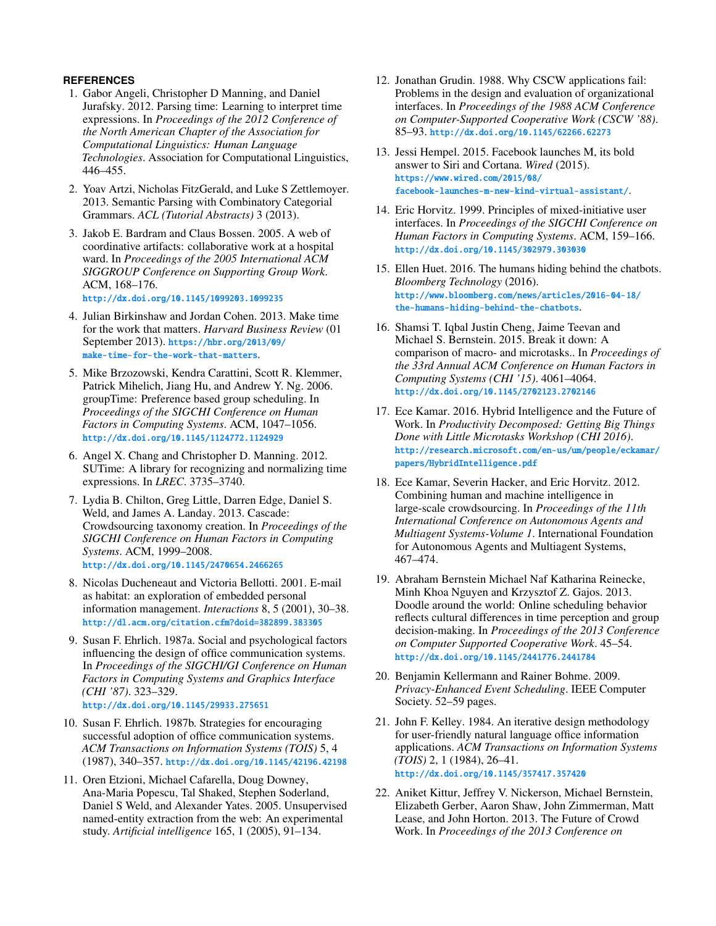# <span id="page-10-18"></span>**REFERENCES**

- 1. Gabor Angeli, Christopher D Manning, and Daniel Jurafsky. 2012. Parsing time: Learning to interpret time expressions. In *Proceedings of the 2012 Conference of the North American Chapter of the Association for Computational Linguistics: Human Language Technologies*. Association for Computational Linguistics, 446–455.
- <span id="page-10-20"></span>2. Yoav Artzi, Nicholas FitzGerald, and Luke S Zettlemoyer. 2013. Semantic Parsing with Combinatory Categorial Grammars. *ACL (Tutorial Abstracts)* 3 (2013).
- <span id="page-10-1"></span>3. Jakob E. Bardram and Claus Bossen. 2005. A web of coordinative artifacts: collaborative work at a hospital ward. In *Proceedings of the 2005 International ACM SIGGROUP Conference on Supporting Group Work*. ACM, 168–176.

<http://dx.doi.org/10.1145/1099203.1099235>

- <span id="page-10-4"></span>4. Julian Birkinshaw and Jordan Cohen. 2013. Make time for the work that matters. *Harvard Business Review* (01 September 2013). [https://hbr.org/2013/09/](https://hbr.org/2013/09/make-time-for-the-work-that-matters) [make-time-for-the-work-that-matters](https://hbr.org/2013/09/make-time-for-the-work-that-matters).
- <span id="page-10-8"></span>5. Mike Brzozowski, Kendra Carattini, Scott R. Klemmer, Patrick Mihelich, Jiang Hu, and Andrew Y. Ng. 2006. groupTime: Preference based group scheduling. In *Proceedings of the SIGCHI Conference on Human Factors in Computing Systems*. ACM, 1047–1056. <http://dx.doi.org/10.1145/1124772.1124929>
- <span id="page-10-21"></span>6. Angel X. Chang and Christopher D. Manning. 2012. SUTime: A library for recognizing and normalizing time expressions. In *LREC*. 3735–3740.
- <span id="page-10-12"></span>7. Lydia B. Chilton, Greg Little, Darren Edge, Daniel S. Weld, and James A. Landay. 2013. Cascade: Crowdsourcing taxonomy creation. In *Proceedings of the SIGCHI Conference on Human Factors in Computing Systems*. ACM, 1999–2008. <http://dx.doi.org/10.1145/2470654.2466265>
- <span id="page-10-7"></span>8. Nicolas Ducheneaut and Victoria Bellotti. 2001. E-mail as habitat: an exploration of embedded personal information management. *Interactions* 8, 5 (2001), 30–38. <http://dl.acm.org/citation.cfm?doid=382899.383305>
- <span id="page-10-2"></span>9. Susan F. Ehrlich. 1987a. Social and psychological factors influencing the design of office communication systems. In *Proceedings of the SIGCHI/GI Conference on Human Factors in Computing Systems and Graphics Interface (CHI '87)*. 323–329. <http://dx.doi.org/10.1145/29933.275651>
- <span id="page-10-3"></span>10. Susan F. Ehrlich. 1987b. Strategies for encouraging successful adoption of office communication systems. *ACM Transactions on Information Systems (TOIS)* 5, 4 (1987), 340–357. <http://dx.doi.org/10.1145/42196.42198>
- <span id="page-10-17"></span>11. Oren Etzioni, Michael Cafarella, Doug Downey, Ana-Maria Popescu, Tal Shaked, Stephen Soderland, Daniel S Weld, and Alexander Yates. 2005. Unsupervised named-entity extraction from the web: An experimental study. *Artificial intelligence* 165, 1 (2005), 91–134.
- <span id="page-10-0"></span>12. Jonathan Grudin. 1988. Why CSCW applications fail: Problems in the design and evaluation of organizational interfaces. In *Proceedings of the 1988 ACM Conference on Computer-Supported Cooperative Work (CSCW '88)*. 85–93. <http://dx.doi.org/10.1145/62266.62273>
- <span id="page-10-15"></span>13. Jessi Hempel. 2015. Facebook launches M, its bold answer to Siri and Cortana. *Wired* (2015). [https://www.wired.com/2015/08/](https://www.wired.com/2015/08/facebook-launches-m-new-kind-virtual-assistant/) [facebook-launches-m-new-kind-virtual-assistant/](https://www.wired.com/2015/08/facebook-launches-m-new-kind-virtual-assistant/).
- <span id="page-10-9"></span>14. Eric Horvitz. 1999. Principles of mixed-initiative user interfaces. In *Proceedings of the SIGCHI Conference on Human Factors in Computing Systems*. ACM, 159–166. <http://dx.doi.org/10.1145/302979.303030>
- <span id="page-10-16"></span>15. Ellen Huet. 2016. The humans hiding behind the chatbots. *Bloomberg Technology* (2016). [http://www.bloomberg.com/news/articles/2016-04-18/](http://www.bloomberg.com/news/articles/2016-04-18/the-humans-hiding-behind-the-chatbots) [the-humans-hiding-behind-the-chatbots](http://www.bloomberg.com/news/articles/2016-04-18/the-humans-hiding-behind-the-chatbots).
- <span id="page-10-13"></span>16. Shamsi T. Iqbal Justin Cheng, Jaime Teevan and Michael S. Bernstein. 2015. Break it down: A comparison of macro- and microtasks.. In *Proceedings of the 33rd Annual ACM Conference on Human Factors in Computing Systems (CHI '15)*. 4061–4064. <http://dx.doi.org/10.1145/2702123.2702146>
- <span id="page-10-10"></span>17. Ece Kamar. 2016. Hybrid Intelligence and the Future of Work. In *Productivity Decomposed: Getting Big Things Done with Little Microtasks Workshop (CHI 2016)*. [http://research.microsoft.com/en-us/um/people/eckamar/](http://research.microsoft.com/en-us/um/people/eckamar/papers/HybridIntelligence.pdf) [papers/HybridIntelligence.pdf](http://research.microsoft.com/en-us/um/people/eckamar/papers/HybridIntelligence.pdf)
- <span id="page-10-14"></span>18. Ece Kamar, Severin Hacker, and Eric Horvitz. 2012. Combining human and machine intelligence in large-scale crowdsourcing. In *Proceedings of the 11th International Conference on Autonomous Agents and Multiagent Systems-Volume 1*. International Foundation for Autonomous Agents and Multiagent Systems, 467–474.
- <span id="page-10-5"></span>19. Abraham Bernstein Michael Naf Katharina Reinecke, Minh Khoa Nguyen and Krzysztof Z. Gajos. 2013. Doodle around the world: Online scheduling behavior reflects cultural differences in time perception and group decision-making. In *Proceedings of the 2013 Conference on Computer Supported Cooperative Work*. 45–54. <http://dx.doi.org/10.1145/2441776.2441784>
- <span id="page-10-6"></span>20. Benjamin Kellermann and Rainer Bohme. 2009. *Privacy-Enhanced Event Scheduling*. IEEE Computer Society. 52–59 pages.
- <span id="page-10-19"></span>21. John F. Kelley. 1984. An iterative design methodology for user-friendly natural language office information applications. *ACM Transactions on Information Systems (TOIS)* 2, 1 (1984), 26–41. <http://dx.doi.org/10.1145/357417.357420>
- <span id="page-10-11"></span>22. Aniket Kittur, Jeffrey V. Nickerson, Michael Bernstein, Elizabeth Gerber, Aaron Shaw, John Zimmerman, Matt Lease, and John Horton. 2013. The Future of Crowd Work. In *Proceedings of the 2013 Conference on*